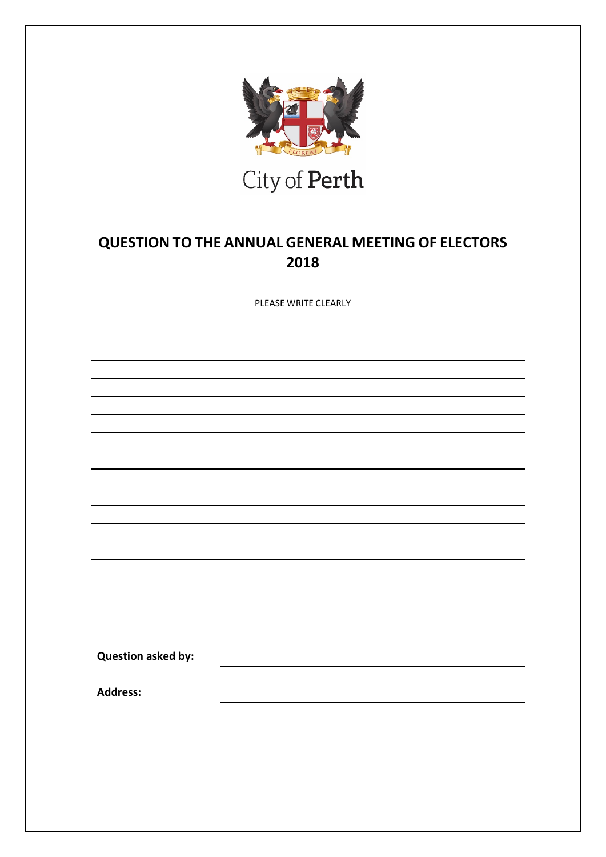

## **QUESTION TO THE ANNUAL GENERAL MEETING OF ELECTORS 2018**

PLEASE WRITE CLEARLY

<u> 1989 - Johann Stoff, deutscher Stoffen und der Stoffen und der Stoffen und der Stoffen und der Stoffen und der</u>

**Question asked by:**

**Address:**